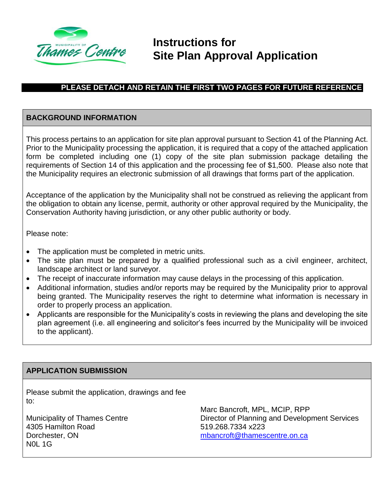

# **Instructions for Site Plan Approval Application**

# **PLEASE DETACH AND RETAIN THE FIRST TWO PAGES FOR FUTURE REFERENCE**

## **BACKGROUND INFORMATION**

This process pertains to an application for site plan approval pursuant to Section 41 of the Planning Act. Prior to the Municipality processing the application, it is required that a copy of the attached application form be completed including one (1) copy of the site plan submission package detailing the requirements of Section 14 of this application and the processing fee of \$1,500. Please also note that the Municipality requires an electronic submission of all drawings that forms part of the application.

Acceptance of the application by the Municipality shall not be construed as relieving the applicant from the obligation to obtain any license, permit, authority or other approval required by the Municipality, the Conservation Authority having jurisdiction, or any other public authority or body.

Please note:

- The application must be completed in metric units.
- The site plan must be prepared by a qualified professional such as a civil engineer, architect, landscape architect or land surveyor.
- The receipt of inaccurate information may cause delays in the processing of this application.
- Additional information, studies and/or reports may be required by the Municipality prior to approval being granted. The Municipality reserves the right to determine what information is necessary in order to properly process an application.
- Applicants are responsible for the Municipality's costs in reviewing the plans and developing the site plan agreement (i.e. all engineering and solicitor's fees incurred by the Municipality will be invoiced to the applicant).

### **APPLICATION SUBMISSION**

Please submit the application, drawings and fee to:

Municipality of Thames Centre 4305 Hamilton Road Dorchester, ON N0L 1G

Marc Bancroft, MPL, MCIP, RPP Director of Planning and Development Services 519.268.7334 x223 [mbancroft@thamescentre.on.ca](mailto:mbancroft@thamescentre.on.ca)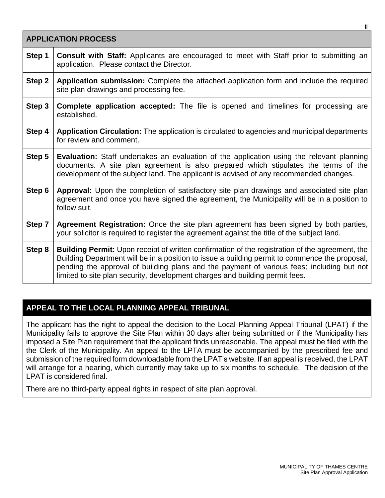| <b>APPLICATION PROCESS</b> |                                                                                                                                                                                                                                                                                                                                                                                       |  |  |  |
|----------------------------|---------------------------------------------------------------------------------------------------------------------------------------------------------------------------------------------------------------------------------------------------------------------------------------------------------------------------------------------------------------------------------------|--|--|--|
| Step 1                     | <b>Consult with Staff:</b> Applicants are encouraged to meet with Staff prior to submitting an<br>application. Please contact the Director.                                                                                                                                                                                                                                           |  |  |  |
| Step 2                     | Application submission: Complete the attached application form and include the required<br>site plan drawings and processing fee.                                                                                                                                                                                                                                                     |  |  |  |
| Step 3                     | Complete application accepted: The file is opened and timelines for processing are<br>established.                                                                                                                                                                                                                                                                                    |  |  |  |
| Step 4                     | Application Circulation: The application is circulated to agencies and municipal departments<br>for review and comment.                                                                                                                                                                                                                                                               |  |  |  |
| Step 5                     | Evaluation: Staff undertakes an evaluation of the application using the relevant planning<br>documents. A site plan agreement is also prepared which stipulates the terms of the<br>development of the subject land. The applicant is advised of any recommended changes.                                                                                                             |  |  |  |
| Step 6                     | Approval: Upon the completion of satisfactory site plan drawings and associated site plan<br>agreement and once you have signed the agreement, the Municipality will be in a position to<br>follow suit.                                                                                                                                                                              |  |  |  |
| Step 7                     | Agreement Registration: Once the site plan agreement has been signed by both parties,<br>your solicitor is required to register the agreement against the title of the subject land.                                                                                                                                                                                                  |  |  |  |
| Step 8                     | <b>Building Permit:</b> Upon receipt of written confirmation of the registration of the agreement, the<br>Building Department will be in a position to issue a building permit to commence the proposal,<br>pending the approval of building plans and the payment of various fees; including but not<br>limited to site plan security, development charges and building permit fees. |  |  |  |

## **APPEAL TO THE LOCAL PLANNING APPEAL TRIBUNAL**

The applicant has the right to appeal the decision to the Local Planning Appeal Tribunal (LPAT) if the Municipality fails to approve the Site Plan within 30 days after being submitted or if the Municipality has imposed a Site Plan requirement that the applicant finds unreasonable. The appeal must be filed with the the Clerk of the Municipality. An appeal to the LPTA must be accompanied by the prescribed fee and submission of the required form downloadable from the LPAT's website. If an appeal is received, the LPAT will arrange for a hearing, which currently may take up to six months to schedule. The decision of the LPAT is considered final.

There are no third-party appeal rights in respect of site plan approval.

ii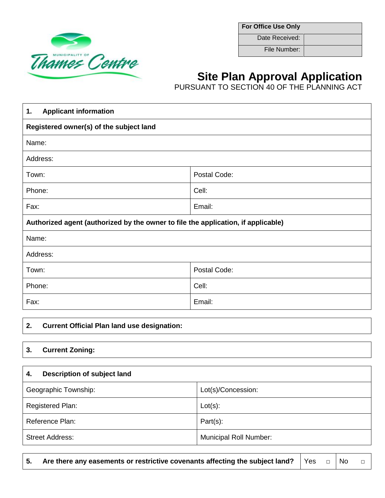

**For Office Use Only**

Date Received:

File Number:

# **Site Plan Approval Application**

PURSUANT TO SECTION 40 OF THE PLANNING ACT

| <b>Applicant information</b><br>1.                                                |              |  |
|-----------------------------------------------------------------------------------|--------------|--|
| Registered owner(s) of the subject land                                           |              |  |
| Name:                                                                             |              |  |
| Address:                                                                          |              |  |
| Town:                                                                             | Postal Code: |  |
| Phone:                                                                            | Cell:        |  |
| Fax:                                                                              | Email:       |  |
| Authorized agent (authorized by the owner to file the application, if applicable) |              |  |
| Name:                                                                             |              |  |
| Address:                                                                          |              |  |
| Postal Code:<br>Town:                                                             |              |  |
| Phone:                                                                            | Cell:        |  |
| Fax:<br>Email:                                                                    |              |  |

### **2. Current Official Plan land use designation:**

#### **3. Current Zoning:**

| Description of subject land<br>4. |                               |  |
|-----------------------------------|-------------------------------|--|
| Geographic Township:              | Lot(s)/Concession:            |  |
| Registered Plan:                  | $Lot(s)$ :                    |  |
| Reference Plan:                   | $Part(s)$ :                   |  |
| <b>Street Address:</b>            | <b>Municipal Roll Number:</b> |  |

**5.** Are there any easements or restrictive covenants affecting the subject land? Yes □ No □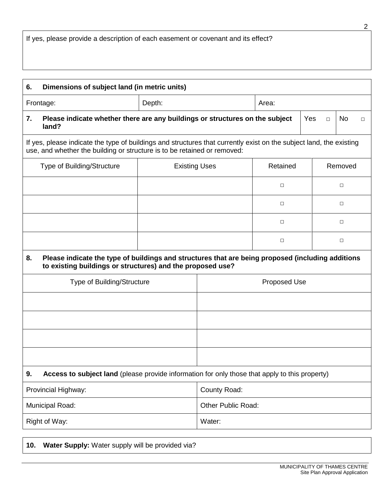| Dimensions of subject land (in metric units)<br>6.                                                                                                                                              |                      |        |               |           |         |  |  |
|-------------------------------------------------------------------------------------------------------------------------------------------------------------------------------------------------|----------------------|--------|---------------|-----------|---------|--|--|
| Depth:<br>Frontage:                                                                                                                                                                             |                      |        | Area:         |           |         |  |  |
| Please indicate whether there are any buildings or structures on the subject<br>7.<br>land?                                                                                                     |                      |        | Yes<br>$\Box$ | <b>No</b> | $\Box$  |  |  |
| If yes, please indicate the type of buildings and structures that currently exist on the subject land, the existing<br>use, and whether the building or structure is to be retained or removed: |                      |        |               |           |         |  |  |
| Type of Building/Structure                                                                                                                                                                      | <b>Existing Uses</b> |        | Retained      |           | Removed |  |  |
|                                                                                                                                                                                                 |                      |        | $\Box$        |           | $\Box$  |  |  |
|                                                                                                                                                                                                 |                      |        | $\Box$        |           | $\Box$  |  |  |
|                                                                                                                                                                                                 |                      |        | $\Box$        |           | $\Box$  |  |  |
|                                                                                                                                                                                                 |                      |        | $\Box$        |           | $\Box$  |  |  |
| Please indicate the type of buildings and structures that are being proposed (including additions<br>8.<br>to existing buildings or structures) and the proposed use?                           |                      |        |               |           |         |  |  |
| Type of Building/Structure                                                                                                                                                                      | <b>Proposed Use</b>  |        |               |           |         |  |  |
|                                                                                                                                                                                                 |                      |        |               |           |         |  |  |
|                                                                                                                                                                                                 |                      |        |               |           |         |  |  |
|                                                                                                                                                                                                 |                      |        |               |           |         |  |  |
|                                                                                                                                                                                                 |                      |        |               |           |         |  |  |
| Access to subject land (please provide information for only those that apply to this property)<br>9.                                                                                            |                      |        |               |           |         |  |  |
| Provincial Highway:                                                                                                                                                                             | County Road:         |        |               |           |         |  |  |
| Municipal Road:                                                                                                                                                                                 | Other Public Road:   |        |               |           |         |  |  |
| Right of Way:                                                                                                                                                                                   |                      | Water: |               |           |         |  |  |
|                                                                                                                                                                                                 |                      |        |               |           |         |  |  |

**10. Water Supply:** Water supply will be provided via?

2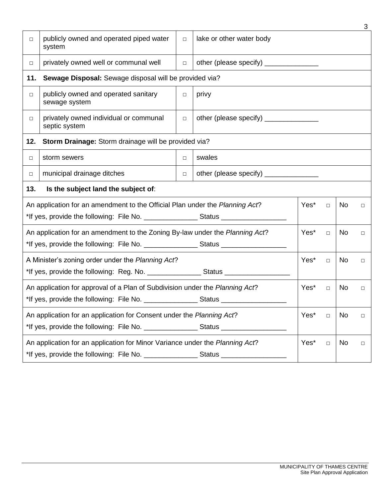| $\Box$                                                                                                                | publicly owned and operated piped water<br>system                                                               | $\Box$                                           | lake or other water body                 |  |    |        |  |
|-----------------------------------------------------------------------------------------------------------------------|-----------------------------------------------------------------------------------------------------------------|--------------------------------------------------|------------------------------------------|--|----|--------|--|
| $\Box$                                                                                                                | privately owned well or communal well                                                                           | $\Box$                                           | other (please specify) ________________  |  |    |        |  |
| 11.                                                                                                                   | Sewage Disposal: Sewage disposal will be provided via?                                                          |                                                  |                                          |  |    |        |  |
| $\Box$                                                                                                                | publicly owned and operated sanitary<br>sewage system                                                           | $\Box$                                           | privy                                    |  |    |        |  |
| $\Box$                                                                                                                | privately owned individual or communal<br>septic system                                                         | $\Box$                                           | other (please specify) _________________ |  |    |        |  |
| 12.                                                                                                                   | Storm Drainage: Storm drainage will be provided via?                                                            |                                                  |                                          |  |    |        |  |
| $\Box$                                                                                                                | storm sewers                                                                                                    | swales<br>$\Box$                                 |                                          |  |    |        |  |
| $\Box$                                                                                                                | municipal drainage ditches                                                                                      | other (please specify) _______________<br>$\Box$ |                                          |  |    |        |  |
| 13.<br>Is the subject land the subject of:                                                                            |                                                                                                                 |                                                  |                                          |  |    |        |  |
|                                                                                                                       | An application for an amendment to the Official Plan under the Planning Act?<br>Yes*<br>No<br>$\Box$<br>$\Box$  |                                                  |                                          |  |    |        |  |
|                                                                                                                       | An application for an amendment to the Zoning By-law under the Planning Act?<br>Yes*<br>No.<br>$\Box$<br>$\Box$ |                                                  |                                          |  |    |        |  |
|                                                                                                                       | A Minister's zoning order under the Planning Act?<br>Yes*<br><b>No</b><br>$\Box$<br>$\Box$                      |                                                  |                                          |  |    |        |  |
| An application for approval of a Plan of Subdivision under the Planning Act?<br>Yes*<br><b>No</b><br>$\Box$<br>$\Box$ |                                                                                                                 |                                                  |                                          |  |    |        |  |
|                                                                                                                       | An application for an application for Consent under the Planning Act?<br>Yes*<br>No<br>$\Box$<br>$\Box$         |                                                  |                                          |  |    |        |  |
| An application for an application for Minor Variance under the Planning Act?<br>Yes*<br>$\Box$                        |                                                                                                                 |                                                  |                                          |  | No | $\Box$ |  |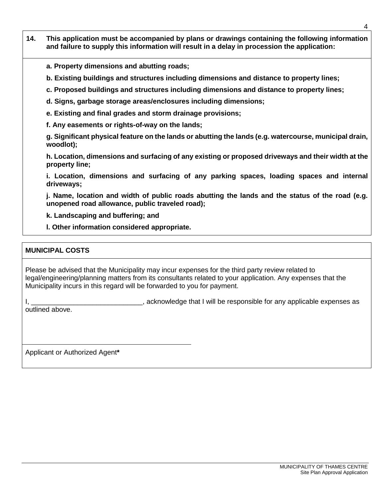- **14. This application must be accompanied by plans or drawings containing the following information and failure to supply this information will result in a delay in procession the application:**
	- **a. Property dimensions and abutting roads;**
	- **b. Existing buildings and structures including dimensions and distance to property lines;**
	- **c. Proposed buildings and structures including dimensions and distance to property lines;**
	- **d. Signs, garbage storage areas/enclosures including dimensions;**
	- **e. Existing and final grades and storm drainage provisions;**
	- **f. Any easements or rights-of-way on the lands;**

**g. Significant physical feature on the lands or abutting the lands (e.g. watercourse, municipal drain, woodlot);**

**h. Location, dimensions and surfacing of any existing or proposed driveways and their width at the property line;**

**i. Location, dimensions and surfacing of any parking spaces, loading spaces and internal driveways;**

**j. Name, location and width of public roads abutting the lands and the status of the road (e.g. unopened road allowance, public traveled road);**

**k. Landscaping and buffering; and**

**l. Other information considered appropriate.**

#### **MUNICIPAL COSTS**

Please be advised that the Municipality may incur expenses for the third party review related to legal/engineering/planning matters from its consultants related to your application. Any expenses that the Municipality incurs in this regard will be forwarded to you for payment.

I,  $\frac{1}{2}$  acknowledge that I will be responsible for any applicable expenses as outlined above.

Applicant or Authorized Agent**\***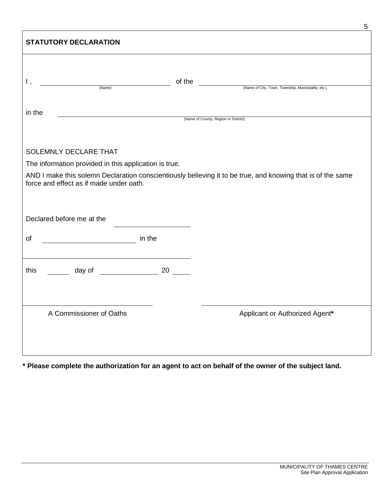| <b>STATUTORY DECLARATION</b>                                                                                                                                                                                    |                                                              |  |  |  |  |
|-----------------------------------------------------------------------------------------------------------------------------------------------------------------------------------------------------------------|--------------------------------------------------------------|--|--|--|--|
| Ι,<br>(Name)                                                                                                                                                                                                    | of the<br>(Name of City, Town, Township, Municipality, etc.) |  |  |  |  |
| in the                                                                                                                                                                                                          |                                                              |  |  |  |  |
|                                                                                                                                                                                                                 | (Name of County, Region or District)                         |  |  |  |  |
| SOLEMNLY DECLARE THAT                                                                                                                                                                                           |                                                              |  |  |  |  |
| The information provided in this application is true.<br>AND I make this solemn Declaration conscientiously believing it to be true, and knowing that is of the same<br>force and effect as if made under oath. |                                                              |  |  |  |  |
| Declared before me at the                                                                                                                                                                                       |                                                              |  |  |  |  |
| of                                                                                                                                                                                                              |                                                              |  |  |  |  |
| day of 20<br>this                                                                                                                                                                                               |                                                              |  |  |  |  |
| A Commissioner of Oaths                                                                                                                                                                                         | Applicant or Authorized Agent*                               |  |  |  |  |
|                                                                                                                                                                                                                 |                                                              |  |  |  |  |

**\* Please complete the authorization for an agent to act on behalf of the owner of the subject land.**

5